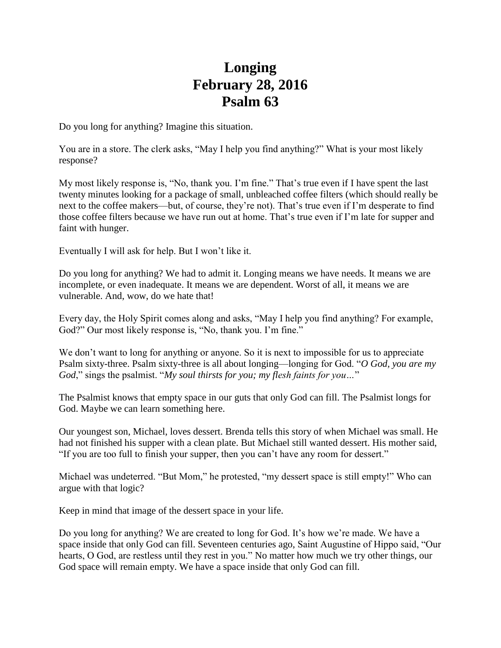## **Longing February 28, 2016 Psalm 63**

Do you long for anything? Imagine this situation.

You are in a store. The clerk asks, "May I help you find anything?" What is your most likely response?

My most likely response is, "No, thank you. I'm fine." That's true even if I have spent the last twenty minutes looking for a package of small, unbleached coffee filters (which should really be next to the coffee makers—but, of course, they're not). That's true even if I'm desperate to find those coffee filters because we have run out at home. That's true even if I'm late for supper and faint with hunger.

Eventually I will ask for help. But I won't like it.

Do you long for anything? We had to admit it. Longing means we have needs. It means we are incomplete, or even inadequate. It means we are dependent. Worst of all, it means we are vulnerable. And, wow, do we hate that!

Every day, the Holy Spirit comes along and asks, "May I help you find anything? For example, God?" Our most likely response is, "No, thank you. I'm fine."

We don't want to long for anything or anyone. So it is next to impossible for us to appreciate Psalm sixty-three. Psalm sixty-three is all about longing—longing for God. "*O God, you are my God*," sings the psalmist. "*My soul thirsts for you; my flesh faints for you…*"

The Psalmist knows that empty space in our guts that only God can fill. The Psalmist longs for God. Maybe we can learn something here.

Our youngest son, Michael, loves dessert. Brenda tells this story of when Michael was small. He had not finished his supper with a clean plate. But Michael still wanted dessert. His mother said, "If you are too full to finish your supper, then you can't have any room for dessert."

Michael was undeterred. "But Mom," he protested, "my dessert space is still empty!" Who can argue with that logic?

Keep in mind that image of the dessert space in your life.

Do you long for anything? We are created to long for God. It's how we're made. We have a space inside that only God can fill. Seventeen centuries ago, Saint Augustine of Hippo said, "Our hearts, O God, are restless until they rest in you." No matter how much we try other things, our God space will remain empty. We have a space inside that only God can fill.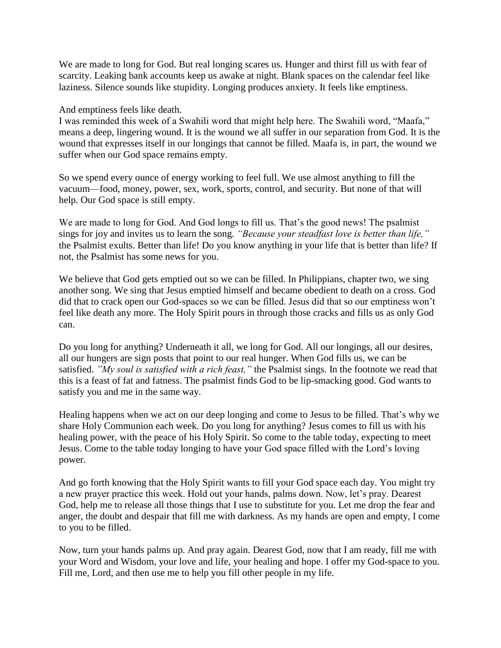We are made to long for God. But real longing scares us. Hunger and thirst fill us with fear of scarcity. Leaking bank accounts keep us awake at night. Blank spaces on the calendar feel like laziness. Silence sounds like stupidity. Longing produces anxiety. It feels like emptiness.

And emptiness feels like death.

I was reminded this week of a Swahili word that might help here. The Swahili word, "Maafa," means a deep, lingering wound. It is the wound we all suffer in our separation from God. It is the wound that expresses itself in our longings that cannot be filled. Maafa is, in part, the wound we suffer when our God space remains empty.

So we spend every ounce of energy working to feel full. We use almost anything to fill the vacuum—food, money, power, sex, work, sports, control, and security. But none of that will help. Our God space is still empty.

We are made to long for God. And God longs to fill us. That's the good news! The psalmist sings for joy and invites us to learn the song. *"Because your steadfast love is better than life,"* the Psalmist exults. Better than life! Do you know anything in your life that is better than life? If not, the Psalmist has some news for you.

We believe that God gets emptied out so we can be filled. In Philippians, chapter two, we sing another song. We sing that Jesus emptied himself and became obedient to death on a cross. God did that to crack open our God-spaces so we can be filled. Jesus did that so our emptiness won't feel like death any more. The Holy Spirit pours in through those cracks and fills us as only God can.

Do you long for anything? Underneath it all, we long for God. All our longings, all our desires, all our hungers are sign posts that point to our real hunger. When God fills us, we can be satisfied. *"My soul is satisfied with a rich feast,"* the Psalmist sings. In the footnote we read that this is a feast of fat and fatness. The psalmist finds God to be lip-smacking good. God wants to satisfy you and me in the same way.

Healing happens when we act on our deep longing and come to Jesus to be filled. That's why we share Holy Communion each week. Do you long for anything? Jesus comes to fill us with his healing power, with the peace of his Holy Spirit. So come to the table today, expecting to meet Jesus. Come to the table today longing to have your God space filled with the Lord's loving power.

And go forth knowing that the Holy Spirit wants to fill your God space each day. You might try a new prayer practice this week. Hold out your hands, palms down. Now, let's pray. Dearest God, help me to release all those things that I use to substitute for you. Let me drop the fear and anger, the doubt and despair that fill me with darkness. As my hands are open and empty, I come to you to be filled.

Now, turn your hands palms up. And pray again. Dearest God, now that I am ready, fill me with your Word and Wisdom, your love and life, your healing and hope. I offer my God-space to you. Fill me, Lord, and then use me to help you fill other people in my life.